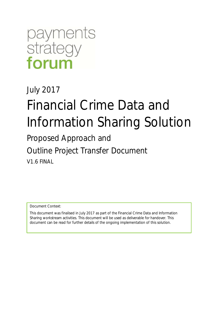## payments strategy forum

### July 2017

# Financial Crime Data and Information Sharing Solution

Proposed Approach and

Outline Project Transfer Document

V1.6 FINAL

Document Context:

This document was finalised in July 2017 as part of the Financial Crime Data and Information Sharing workstream activities. This document will be used as deliverable for handover. This document can be read for further details of the ongoing implementation of this solution.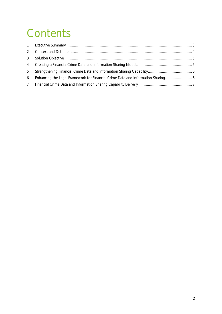## **Contents**

| 2              |                                                                                |  |
|----------------|--------------------------------------------------------------------------------|--|
|                |                                                                                |  |
| $\overline{4}$ |                                                                                |  |
| 5              |                                                                                |  |
| 6              | Enhancing the Legal Framework for Financial Crime Data and Information Sharing |  |
| 7              |                                                                                |  |
|                |                                                                                |  |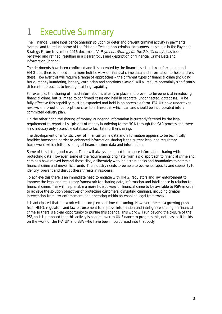### 1 Executive Summary

The 'Financial Crime Intelligence Sharing' solution to deter and prevent criminal activity in payments systems and to reduce some of the friction affecting non-criminal consumers, as set out in the Payment Strategy Forum November 2016 document 'A Payments Strategy for the 21st Century', has been reviewed and refined, resulting in a clearer focus and description of 'Financial Crime Data and Information Sharing'.

The detriments have been confirmed and it is accepted by the financial sector, law enforcement and HMG that there is a need for a more holistic view of financial crime data and information to help address these. However this will require a range of approaches – the different types of financial crime (including fraud, money laundering, bribery, corruption and sanctions evasion) will all require potentially significantly different approaches to leverage existing capability.

For example, the sharing of fraud information is already in place and proven to be beneficial in reducing financial crime, but is limited to confirmed cases and held in separate, unconnected, databases. To be fully effective this capability must be expanded and held in an accessible form. FFA UK have undertaken reviews and proof of concept exercises to achieve this which can and should be incorporated into a committed delivery plan.

On the other hand the sharing of money laundering information is currently fettered by the legal requirement to report all suspicions of money laundering to the NCA through the SAR process and there is no industry only accessible database to facilitate further sharing.

The development of a holistic view of financial crime data and information appears to be technically feasible; however a barrier to enhanced information sharing is the current legal and regulatory framework, which fetters sharing of financial crime data and information.

Some of this is for good reason. There will always be a need to balance information sharing with protecting data. However, some of the requirements originate from a silo approach to financial crime and criminals have moved beyond those silos, deliberately working across banks and boundaries to commit financial crime and move illicit funds. The industry needs to be able to evolve its capacity and capability to identify, prevent and disrupt these threats in response.

To achieve this there is an immediate need to engage with HMG, regulators and law enforcement to improve the legal and regulatory framework for sharing data, information and intelligence in relation to financial crime. This will help enable a more holistic view of financial crime to be available to PSPs in order to achieve the solution objectives of protecting customers; disrupting criminals, including greater intervention from law enforcement; and operating within an enabling legal framework.

It is anticipated that this work will be complex and time consuming. However, there is a growing push from HMG, regulators and law enforcement to improve information and intelligence sharing on financial crime so there is a clear opportunity to pursue this agenda. This work will run beyond the closure of the PSF, so it is proposed that this activity is handed over to UK Finance to progress this, not least as it builds on the work of the FFA UK and BBA who have been incorporated into that body.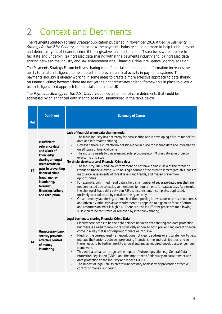### 2 Context and Detriments

The Payments Strategy Forums Strategy publication published in November 2016 (titled 'A Payments Strategy for the 21st Century') outlined how the payments industry could do more to help tackle, prevent and detect all types of financial crime if the legislative, architectural and IT structures were in place to facilitate and underpin: (a) increased data sharing within the payments industry and (b) increased data sharing between the industry and law enforcement (the 'Financial Crime Intelligence Sharing' solution).

The Payments Strategy Forum believes sharing more financial crime data and information increases the ability to create intelligence to help detect and prevent criminal activity in payments systems. The payments industry is already working in some areas to create a more effective approach to data sharing on financial crime; however there are not yet the right structures or legal frameworks in place to allow a true intelligence led approach to financial crime in the UK.

The Payments Strategy for the 21st Century outlined a number of core detriments that could be addressed by an enhanced data sharing solution, summarised in the table below:

| Ref | <b>Detriment</b>                                                                                                                                                                                                                   | <b>Summary of Causes</b>                                                                                                                                                                                                                                                                                                                                                                                                                                                                                                                                                                                                                                                                                                                                                                                                                                                                                                                                                                                                                                                                                                                                                                                                                                                                                                                                                                                                                                                                     |
|-----|------------------------------------------------------------------------------------------------------------------------------------------------------------------------------------------------------------------------------------|----------------------------------------------------------------------------------------------------------------------------------------------------------------------------------------------------------------------------------------------------------------------------------------------------------------------------------------------------------------------------------------------------------------------------------------------------------------------------------------------------------------------------------------------------------------------------------------------------------------------------------------------------------------------------------------------------------------------------------------------------------------------------------------------------------------------------------------------------------------------------------------------------------------------------------------------------------------------------------------------------------------------------------------------------------------------------------------------------------------------------------------------------------------------------------------------------------------------------------------------------------------------------------------------------------------------------------------------------------------------------------------------------------------------------------------------------------------------------------------------|
| 34  | Insufficient<br>reference data<br>and a lack of<br>knowledge<br>sharing amongst<br>users results in<br>gaps in preventing<br>financial crime;<br>fraud, money<br>laundering,<br>terrorist<br>financing, bribery<br>and corruption. | Lack of financial crime data sharing model<br>The fraud industry has a strategy for data sharing and is developing a future model for<br>$\bullet$<br>data and information sharing<br>However, there is currently no holistic model in place for sharing data and information<br>$\bullet$<br>on all types of financial crime<br>The industry needs to play a leading role, plugging into HMG initiatives in order to<br>$\bullet$<br>overcome this issue<br>No single view/source of Financial Crime data<br>The industry, HMG and law enforcement do not have a single view of the threat or<br>trends on financial crime. With no single source of the truth to interrogate, this leads to<br>inaccurate assessments of threat levels and trends, and missed prevention<br>opportunities.<br>For example, confirmed fraud data is held in a number of separate databases that are<br>$\bullet$<br>not connected due to exclusive membership requirements for data access. As a result,<br>the sharing of fraud data between PSPs is inconsistent, incomplete, duplicated,<br>untimely, and collected by certain crime types only.<br>On anti-money laundering, too much of the reporting is low value in terms of outcomes<br>$\bullet$<br>and driven by strict legislative requirements as opposed to a genuine focus of effort<br>and resources on what is high risk. There are also insufficient processes for allowing<br>suspicion to be confirmed or removed by inter-bank sharing. |
| 41  | Unnecessary bank<br>secrecy prevents<br>effective control<br>of money<br>laundering                                                                                                                                                | Legal barriers to sharing Financial Crime Data<br>Clearly there needs to be the right balance between data sharing and data protection,<br>but there is a need to look more holistically at how to both prevent and detect financial<br>crime in a way that is not disproportionate or intrusive.<br>Much of the current legal framework does not clearly address or articulate how to best<br>$\bullet$<br>manage the tensions between preventing financial crime and civil liberties, and so<br>there needs to be further work to understand and as required develop a stronger legal<br>framework.<br>This work also has to recognise the impact of future legislation e.g. General Data<br>$\bullet$<br>Protection Regulation (GDPR) and the importance of adequacy on data transfer and<br>data protection to the industry and indeed UK PLC.<br>The impact of legal liability creates unnecessary bank secrecy preventing effective<br>$\bullet$<br>control of money laundering.                                                                                                                                                                                                                                                                                                                                                                                                                                                                                                       |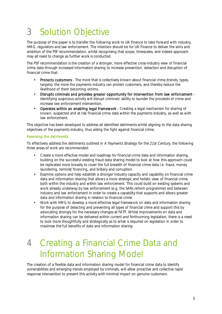### 3 Solution Objective

The purpose of this paper is to transfer the following work to UK Finance to take forward with industry, HMG, regulators and law enforcement. The intention should be for UK Finance to deliver the aims and ambition of the PSF recommendation, whilst recognising that scope, timescales, and indeed approach may all need to change as further work is conducted.

The PSF recommendation is the creation of a stronger, more effective cross-industry view of financial crime data through increased information sharing to increase prevention, detection and disruption of financial crime that:

- Protects customers The more that is collectively known about financial crime (trends, types, targets), the more the payments industry can protect customers, and thereby reduce the likelihood of them becoming victims.
- Disrupts criminals and provides greater opportunity for intervention from law enforcement Identifying suspicious activity will disrupt criminals' ability to launder the proceeds of crime and increase law enforcement intervention.
- Operates within an enabling legal framework Creating a legal mechanism for sharing of known, suspected and at risk financial crime data within the payments industry, as well as with law enforcement.

This objective has been developed to address all identified detriments whilst aligning to the data sharing objectives of the payments industry, thus aiding the fight against financial crime.

#### Resolving the detriments

To effectively address the detriments outlined in A Payments Strategy for the 21st Century, the following three areas of work are recommended:

- Create a more effective model and roadmap for financial crime data and information sharing, building on the successful existing fraud data sharing model to look at how this approach could be replicated more broadly to cover the full breadth of financial crime data i.e. fraud, money laundering, terrorist financing, and bribery and corruption.
- Examine options and help establish a stronger industry capacity and capability on financial crime l. data and information sharing that allows a more strategic and holistic view of financial crime, both within the industry and within law enforcement. This could build on existing systems and work already underway by law enforcement (e.g. the SARs reform programme) and between industry and law enforcement in order to create a capability that supports and allows greater data and information sharing in relation to financial crime.
- Work with HMG to develop a more effective legal framework on data and information sharing l, for the purpose of detecting and preventing all types of financial crime and support this by advocating strongly for the necessary changes at FATF. Whilst improvements on data and information sharing can be delivered within current and forthcoming legislation, there is a need to look more thoughtfully and strategically as to what is required on legislation in order to maximise the full benefits of data and information sharing.

### 4 Creating a Financial Crime Data and Information Sharing Model

The creation of a flexible data and information sharing model for financial crime data to identify vulnerabilities and emerging trends employed by criminals, will allow proactive and collective rapid response intervention to prevent this activity with minimal impact on genuine customers.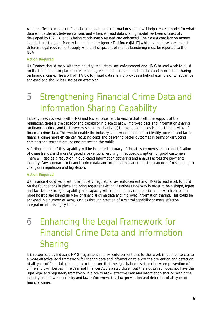A more effective model on financial crime data and information sharing will help create a model for what data will be shared, between whom, and when. A fraud data sharing model has been successfully developed by FFA UK, and is being continuously refined and enhanced. The closest corollary on money laundering is the Joint Money Laundering Intelligence Taskforce (JMLIT) which is less developed, albeit different legal requirements apply where all suspicions of money laundering must be reported to the NCA.

#### Action Required

UK Finance should work with the industry, regulators, law enforcement and HMG to lead work to build on the foundations in place to create and agree a model and approach to data and information sharing on financial crime. The work of FFA UK for fraud data sharing provides a helpful example of what can be achieved and should be used as an exemplar.

### 5 Strengthening Financial Crime Data and Information Sharing Capability

Industry needs to work with HMG and law enforcement to ensure that, with the support of the regulators, there is the capacity and capability in place to allow improved data and information sharing on financial crime, and that there exists the mechanism(s) to take a more holistic and strategic view of financial crime data. This would enable the industry and law enforcement to identify, prevent and tackle financial crime more efficiently, reducing costs and delivering better outcomes in terms of disrupting criminals and terrorist groups and protecting the public.

A further benefit of this capability will be increased accuracy of threat assessments, earlier identification of crime trends, and more targeted intervention, resulting in reduced disruption for good customers. There will also be a reduction in duplicated information gathering and analysis across the payments industry. Any approach to financial crime data and information sharing must be capable of responding to changes in regulation and legislation.

#### Action Required

UK Finance should work with the industry, regulators, law enforcement and HMG to lead work to build on the foundations in place and bring together existing initiatives underway in order to help shape, agree and facilitate a stronger capability and capacity within the industry on financial crime which enables a more holistic and joined up view of financial crime data and improved information sharing. This could be achieved in a number of ways, such as through creation of a central capability or more effective integration of existing systems.

### 6 Enhancing the Legal Framework for Financial Crime Data and Information **Sharing**

It is recognised by industry, HMG, regulators and law enforcement that further work is required to create a more effective legal framework for sharing data and information to allow the prevention and detection of all types of financial crime, but also to ensure that the right balance is struck between prevention of crime and civil liberties. The Criminal Finances Act is a step closer, but the industry still does not have the right legal and regulatory framework in place to allow effective data and information sharing within the industry and between industry and law enforcement to allow prevention and detection of all types of financial crime.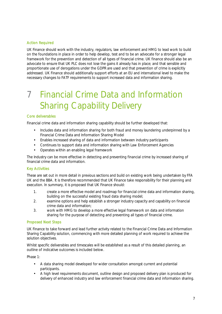#### Action Required

UK Finance should work with the industry, regulators, law enforcement and HMG to lead work to build on the foundations in place in order to help develop, test and to be an advocate for a stronger legal framework for the prevention and detection of all types of financial crime. UK finance should also be an advocate to ensure that UK PLC does not lose the gains it already has in place; and that sensible and proportionate use of derogations under the GDPR are used and that prevention of crime is explicitly addressed. UK Finance should additionally support efforts at an EU and international level to make the necessary changes to FATF requirements to support increased data and information sharing.

### 7 Financial Crime Data and Information Sharing Capability Delivery

#### Core deliverables

Financial crime data and information sharing capability should be further developed that:

- Includes data and information sharing for both fraud and money laundering underpinned by a Financial Crime Data and Information Sharing Model
- Enables increased sharing of data and information between industry participants
- Continues to support data and information sharing with Law Enforcement Agencies l,
- Operates within an enabling legal framework

The Industry can be more effective in detecting and preventing financial crime by increased sharing of financial crime data and information.

#### Key Activities

These are set out in more detail in previous sections and build on existing work being undertaken by FFA UK and the BBA. It is therefore recommended that UK Finance take responsibility for their planning and execution. In summary, it is proposed that UK Finance should:

- 1. create a more effective model and roadmap for financial crime data and information sharing, building on the successful existing fraud data sharing model;
- 2. examine options and help establish a stronger industry capacity and capability on financial crime data and information;
- 3. work with HMG to develop a more effective legal framework on data and information sharing for the purpose of detecting and preventing all types of financial crime.

#### Proposed Next Steps

UK Finance to take forward and lead further activity related to the Financial Crime Data and Information Sharing Capability solution, commencing with more detailed planning of work required to achieve the solution objectives.

Whilst specific deliverables and timescales will be established as a result of this detailed planning, an outline of indicative outcomes is included below.

Phase 1:

- A data sharing model developed for wider consultation amongst current and potential participants.
- A high level requirements document, outline design and proposed delivery plan is produced for delivery of enhanced industry and law enforcement financial crime data and information sharing.